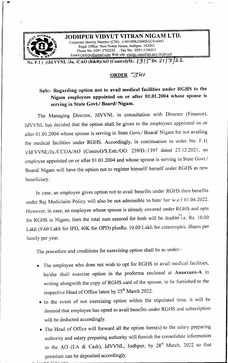

No. F.1 ( )/Jd.VVNL /Ju. /CAO (B&R)/AO (Control)/D.: 19 | 5 Dt. 21 | 3 | 22

## ORDER 341

## Sub:- Regarding option not to avail medical facilities under RGHS to the Nigam employees appointed on or after 01.01.2004 whose spouse is serving in State Govt./ Board/ Nigam.

The Managing Director, J4VVNL in consultation with Director (Finance), JdVVNL has decided that the option shall be given to the employees appointed on or after 01.01.2004 whose spouse is serving in State Govt./ Board/ Nigam for not availing the medical facilities under RGHS. Accordingly, in continuation to order No. F.1( V/Jd.VVNL/Ju./CCOA/AO (Control)/S.Estt./OO. 259/D.:1397 dated 23.12.2021, an employee appointed on or after 01.01.2004 and whose spouse is serving in State Govt./ Board/ Nigam will have the option not to register himself/ herself under RGHS as new beneficiary.

In case, an employee gives option not to avail benefits under RGHS then benefits under Raj Mediclaim Policy will also be not admissible to him/ her w.e.f 01.04.2022. However, in case, an employee whose spouse is already covered under RGHS. and opts for RGHS in Nigam, then the total sum assured for both will be double-i.e. Rs. 10.00 Lakh (9.60 Lakh for IPD, 40K for OPD) plusRs. 10.00 Lakh for catastrophic illness per family per year.

The procedure and conditions for exercising option shall be as under:-

- The employee who does not wish to opt for RGHS to avail medical facilities, he/she shall exercise option in the proforma enclosed at Annexure-A in writing alongwith the copy of RGHS card of the spouse, to be furnished to the respective Head of Office latest by 25" March 2022.
- <sup>e</sup> In the event of not exercising option within the stipulated time, it will be deemed that employee has opted to avail benefits under RGHS and subscription will be deducted accordingly.
- <sup>e</sup> The Head of Office will forward all the option form(s) to the salary preparing authority and salary preparing authority will furnish the consolidate information to the AO (EA & Cash), JdVVNL, Jodhpur, by 28<sup>th</sup> March, 2022 so that premium can be deposited accordingly.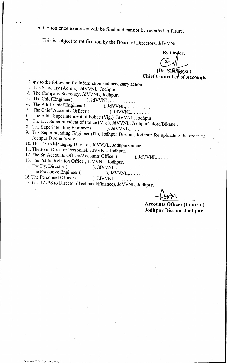¢ Option once exercised will be final and cannot be reverted in future.

This is subject to ratification by the Board of Directors, JdVVNL.

By Orger,  $C$  $(Dr. S.R.A. p$ yal) Chief Controller of Accounts

Copy to the following for information and necessary action:-

- . The Secretary (Admn.), JdVVNL. Jodhpur.
- 2. The Company Secretary, JdVVNL, Jodhpur.<br>3. The Chief Engineer (Call Company).
- ), JdVVNL,.................
- The Addl .ChiefEngineer ( ), JAVVNL,... 0.eee
- The Chief Accounts Officer ( ), JdVVNL,  $\ldots$  ...
- The Addl. Superintendent of Police (Vig.), JdVVNL, Jodhpur. 2.  $3.4.5.6.7.8.9.$
- 7. The Dy. Superintendent of Police (Vig.), JdVVNL, Jodhpur/Jalore/Bikaner.<br>8. The Superintending Engineer (), JdVVNL,......
- 8. The Superintending Engineer (
- 9. The Superintending Engineer (IT), Jodhpur Discom, Jodhpur for uploading the order on Jodhpur Discom's site.
- | 10. The TA to Managing Director, <sup>J</sup>dVVNL, Jodhpur/Jaipur.
- 11. The Joint Director Personnel, <sup>J</sup>dVVNL, Jodhpur.
- 12. The Sr. Accounts Officer/Accounts Officer ( ), JdVVNL,.......
- 13. The Public Relation Officer, JdVVNL, Jodhpur.<br>14. The Dy. Director (), JdVVNL,...

14. The Dy. Director (

- 15. The Executive Engineer( ), JAVVNL,..0 00.
- 16. The Personnel Officer (
	-
- 17. The TA/PS to Director (Technical/Finance), JdVVNL, Jodhpur.

 $+\overline{\mathcal{W}}$ 

Accounts Officer (Control) Jodhpur Discom, Jodhpur